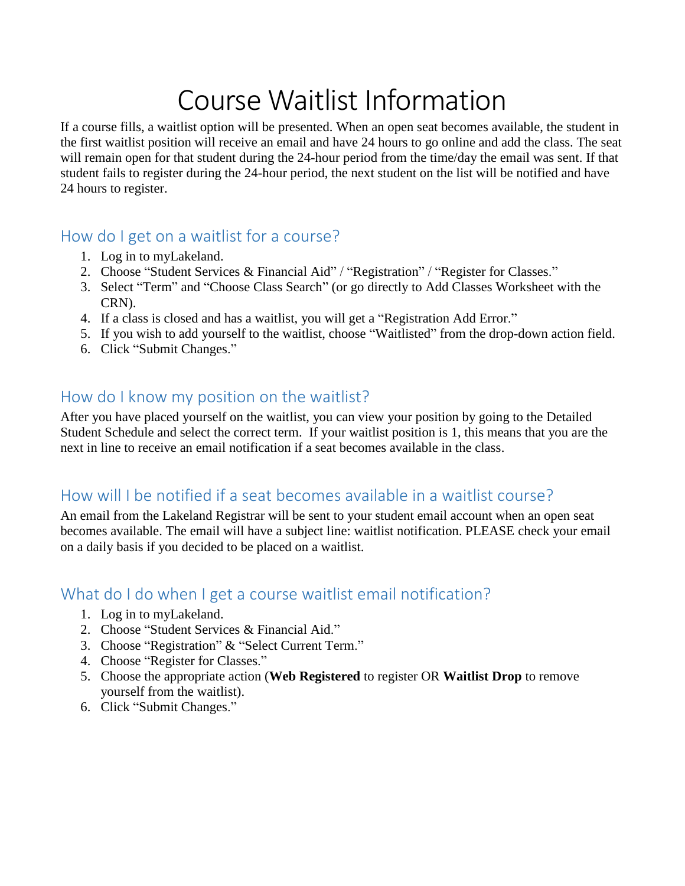# Course Waitlist Information

If a course fills, a waitlist option will be presented. When an open seat becomes available, the student in the first waitlist position will receive an email and have 24 hours to go online and add the class. The seat will remain open for that student during the 24-hour period from the time/day the email was sent. If that student fails to register during the 24-hour period, the next student on the list will be notified and have 24 hours to register.

#### How do I get on a waitlist for a course?

- 1. Log in to myLakeland.
- 2. Choose "Student Services & Financial Aid" / "Registration" / "Register for Classes."
- 3. Select "Term" and "Choose Class Search" (or go directly to Add Classes Worksheet with the CRN).
- 4. If a class is closed and has a waitlist, you will get a "Registration Add Error."
- 5. If you wish to add yourself to the waitlist, choose "Waitlisted" from the drop-down action field.
- 6. Click "Submit Changes."

#### How do I know my position on the waitlist?

After you have placed yourself on the waitlist, you can view your position by going to the Detailed Student Schedule and select the correct term. If your waitlist position is 1, this means that you are the next in line to receive an email notification if a seat becomes available in the class.

#### How will I be notified if a seat becomes available in a waitlist course?

An email from the Lakeland Registrar will be sent to your student email account when an open seat becomes available. The email will have a subject line: waitlist notification. PLEASE check your email on a daily basis if you decided to be placed on a waitlist.

#### What do I do when I get a course waitlist email notification?

- 1. Log in to myLakeland.
- 2. Choose "Student Services & Financial Aid."
- 3. Choose "Registration" & "Select Current Term."
- 4. Choose "Register for Classes."
- 5. Choose the appropriate action (**Web Registered** to register OR **Waitlist Drop** to remove yourself from the waitlist).
- 6. Click "Submit Changes."